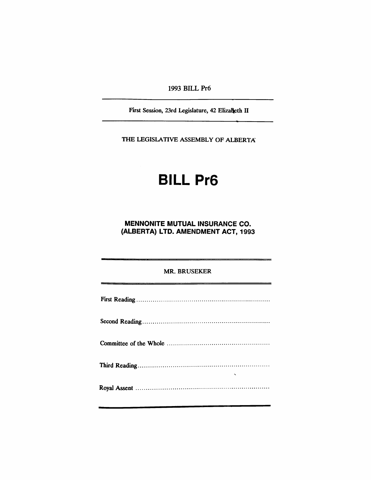1993 BILL Pr6

First Session, 23rd Legislature, 42 Elizalleth II

THE LEGISlATIVE ASSEMBLY OF ALBERTA

# BILL Pr6

MENNONITE MUTUAL INSURANCE CO. (ALBERTA) LTD. AMENDMENT ACT, 1993

MR. BRUSEKER

| $\overline{\phantom{0}}$ |  |
|--------------------------|--|
|                          |  |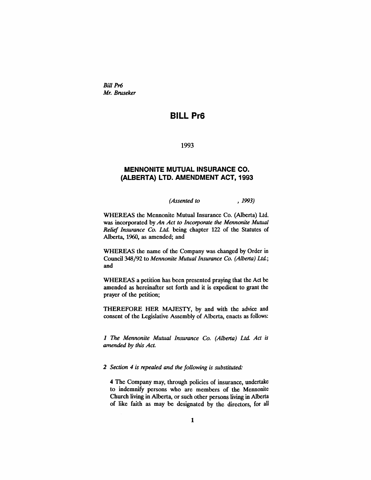*Bill Pr6 Mr. Bmseker*

# **BILL Pr6**

1993

## **MENNONITE MUTUAL INSURANCE CO. (ALBERTA) LTD. AMENDMENT ACT, 1993**

*(Assented to* , 1993)

WHEREAS the Mennonite Mutual Insurance Co. (Alberta) Ltd. was incorporated by *An Act to Incorporate the Mennonite Mutual Relief Insurance Co. Ltd.* being chapter 122 of the Statutes of Alberta, 1960, as amended; and

WHEREAS the name of the Company was changed by Order in Council 348/92 to *Mennonite Mutual Insurance Co. (Alberta) Ltd.;* and

WHEREAS a petition has been presented praying that the Act be amended as hereinafter set forth and it is expedient to grant the prayer of the petition;

THEREFORE HER MAJESTY, by and with the advice and consent of the Legislative Assembly of Alberta, enacts as follows:

*1 The Mennonite Mutual Insurance Co. (Alberta) Ltd. Act is amended by this Act.*

#### *2 Section* 4 *is repealed and the following is substituted:*

4 The Company may, through policies of insurance, undertake to indemnify persons who are members of the Mennonite Church living in Alberta, or such other persons living in Alberta of like faith as may be designated by the directors, for all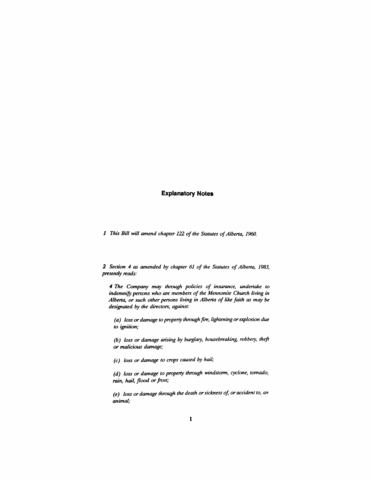### **Explanatory Notes**

*1 This Bill will amend chapter* 122 *of the Statutes ofAlbena, 1960.*

*2 Section* 4 *as amended by chapter* 61 *of the Statutes ofAlbena, 1983, presently reads:*

., *The Company may through policies of insurance, undenake to indemnify persons* who are *members* of the *Mennonite* Church living in *Albena, or such other persons living in Albena of like faith as may be designated by the directors, against:*

*(a) loss or damage to property through fire, lightening or explosion due to ignition;*

*(b) loss or damage arising by burglary, housebreaking, robbery, theft or malicious damage;*

*(c) loss or damage to crops caused by hail;*

*(d) loss or damage to property through windstonn, cyclone, tornado,*  $rain$ , *hail*, *flood* or *frost*;

*(e) loss or damage through the death orsickness of, or accident to, an animal;*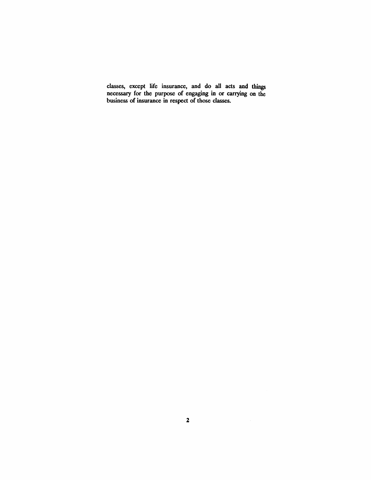classes, except life insurance, and do all acts and things necessary for the purpose of engaging in or carrying on the business of insurance in respect of those classes.